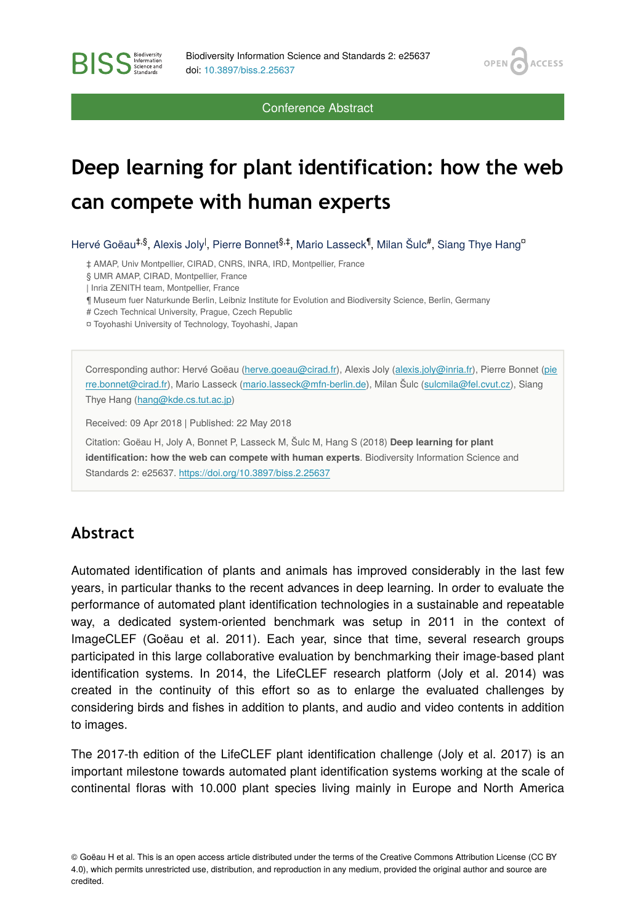**OPEN** 

**ACCESS** 

Conference Abstract

## **Deep learning for plant identification: how the web can compete with human experts**

Hervé Goëau<sup>‡,§</sup>, Alexis Joly<sup>l</sup>, Pierre Bonnet<sup>§,‡</sup>, Mario Lasseck<sup>¶</sup>, Milan Šulc#, Siang Thye Hang<sup>o</sup>

‡ AMAP, Univ Montpellier, CIRAD, CNRS, INRA, IRD, Montpellier, France

§ UMR AMAP, CIRAD, Montpellier, France

| Inria ZENITH team, Montpellier, France

**BISS** Steince and

¶ Museum fuer Naturkunde Berlin, Leibniz Institute for Evolution and Biodiversity Science, Berlin, Germany

# Czech Technical University, Prague, Czech Republic

¤ Toyohashi University of Technology, Toyohashi, Japan

Corresponding author: Hervé Goëau [\(herve.goeau@cirad.fr\)](mailto:herve.goeau@cirad.fr), Alexis Joly ([alexis.joly@inria.fr\)](mailto:alexis.joly@inria.fr), Pierre Bonnet ([pie](mailto:pierre.bonnet@cirad.fr) [rre.bonnet@cirad.fr](mailto:pierre.bonnet@cirad.fr)), Mario Lasseck ([mario.lasseck@mfn-berlin.de](mailto:mario.lasseck@mfn-berlin.de)), Milan Šulc [\(sulcmila@fel.cvut.cz\)](mailto:sulcmila@fel.cvut.cz), Siang Thye Hang [\(hang@kde.cs.tut.ac.jp](mailto:hang@kde.cs.tut.ac.jp))

Received: 09 Apr 2018 | Published: 22 May 2018

Citation: Goëau H, Joly A, Bonnet P, Lasseck M, Šulc M, Hang S (2018) **Deep learning for plant identification: how the web can compete with human experts**. Biodiversity Information Science and Standards 2: e25637. <https://doi.org/10.3897/biss.2.25637>

## **Abstract**

Automated identification of plants and animals has improved considerably in the last few years, in particular thanks to the recent advances in deep learning. In order to evaluate the performance of automated plant identification technologies in a sustainable and repeatable way, a dedicated system-oriented benchmark was setup in 2011 in the context of ImageCLEF (Goëau et al. 2011). Each year, since that time, several research groups participated in this large collaborative evaluation by benchmarking their image-based plant identification systems. In 2014, the LifeCLEF research platform (Joly et al. 2014) was created in the continuity of this effort so as to enlarge the evaluated challenges by considering birds and fishes in addition to plants, and audio and video contents in addition to images.

The 2017-th edition of the LifeCLEF plant identification challenge (Joly et al. 2017) is an important milestone towards automated plant identification systems working at the scale of continental floras with 10.000 plant species living mainly in Europe and North America

© Goëau H et al. This is an open access article distributed under the terms of the Creative Commons Attribution License (CC BY 4.0), which permits unrestricted use, distribution, and reproduction in any medium, provided the original author and source are credited.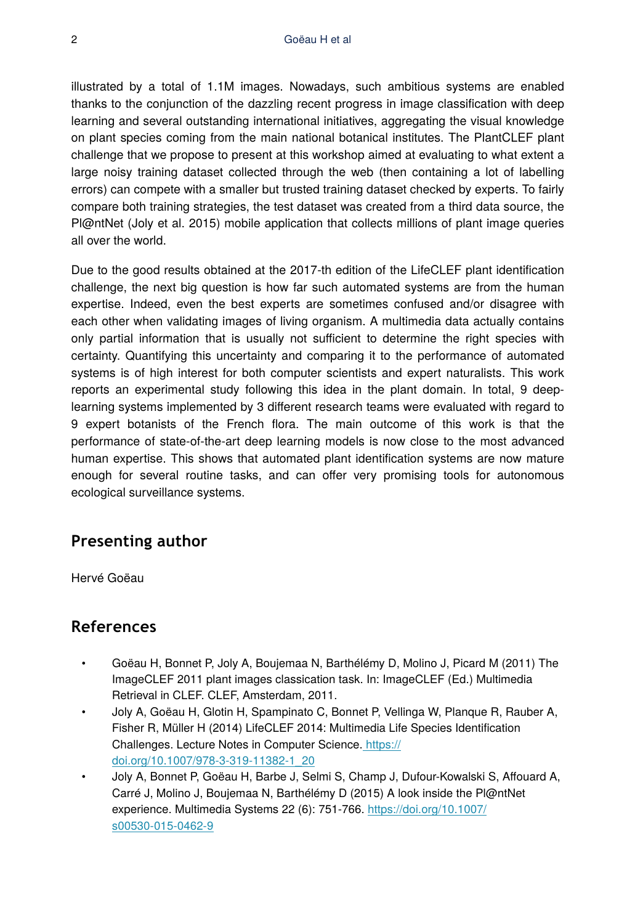illustrated by a total of 1.1M images. Nowadays, such ambitious systems are enabled thanks to the conjunction of the dazzling recent progress in image classification with deep learning and several outstanding international initiatives, aggregating the visual knowledge on plant species coming from the main national botanical institutes. The PlantCLEF plant challenge that we propose to present at this workshop aimed at evaluating to what extent a large noisy training dataset collected through the web (then containing a lot of labelling errors) can compete with a smaller but trusted training dataset checked by experts. To fairly compare both training strategies, the test dataset was created from a third data source, the Pl@ntNet (Joly et al. 2015) mobile application that collects millions of plant image queries all over the world.

Due to the good results obtained at the 2017-th edition of the LifeCLEF plant identification challenge, the next big question is how far such automated systems are from the human expertise. Indeed, even the best experts are sometimes confused and/or disagree with each other when validating images of living organism. A multimedia data actually contains only partial information that is usually not sufficient to determine the right species with certainty. Quantifying this uncertainty and comparing it to the performance of automated systems is of high interest for both computer scientists and expert naturalists. This work reports an experimental study following this idea in the plant domain. In total, 9 deeplearning systems implemented by 3 different research teams were evaluated with regard to 9 expert botanists of the French flora. The main outcome of this work is that the performance of state-of-the-art deep learning models is now close to the most advanced human expertise. This shows that automated plant identification systems are now mature enough for several routine tasks, and can offer very promising tools for autonomous ecological surveillance systems.

## **Presenting author**

Hervé Goëau

## **References**

- Goëau H, Bonnet P, Joly A, Boujemaa N, Barthélémy D, Molino J, Picard M (2011) The ImageCLEF 2011 plant images classication task. In: ImageCLEF (Ed.) Multimedia Retrieval in CLEF. CLEF, Amsterdam, 2011.
- Joly A, Goëau H, Glotin H, Spampinato C, Bonnet P, Vellinga W, Planque R, Rauber A, Fisher R, Müller H (2014) LifeCLEF 2014: Multimedia Life Species Identification Challenges. Lecture Notes in Computer Science. [https://](https://doi.org/10.1007/978-3-319-11382-1_20) [doi.org/10.1007/978-3-319-11382-1\\_20](https://doi.org/10.1007/978-3-319-11382-1_20)
- Joly A, Bonnet P, Goëau H, Barbe J, Selmi S, Champ J, Dufour-Kowalski S, Affouard A, Carré J, Molino J, Boujemaa N, Barthélémy D (2015) A look inside the Pl@ntNet experience. Multimedia Systems 22 (6): 751-766. [https://doi.org/10.1007/](https://doi.org/10.1007/s00530-015-0462-9) [s00530-015-0462-9](https://doi.org/10.1007/s00530-015-0462-9)